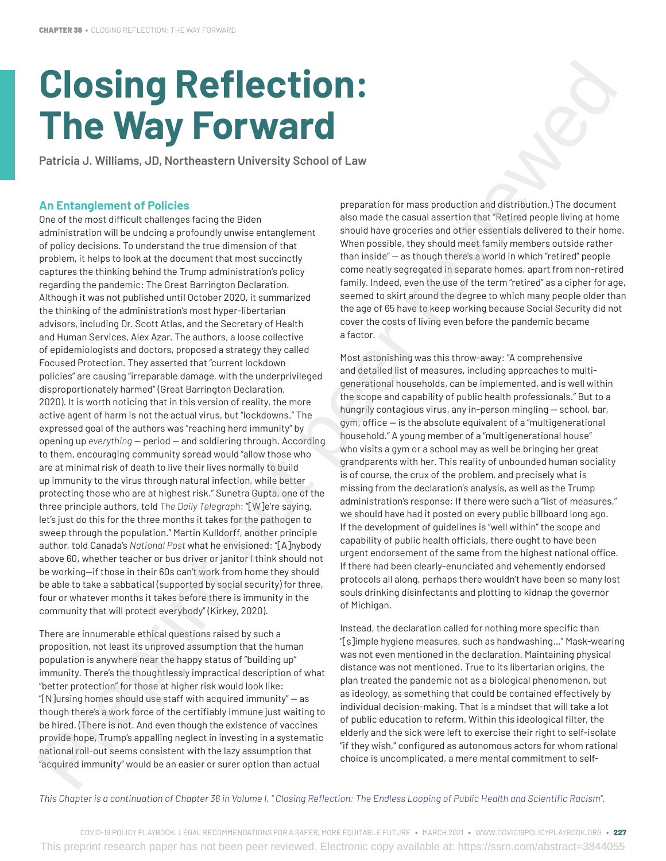# **Closing Reflection: The Way Forward**

**Patricia J. Williams, JD, Northeastern University School of Law** 

### **An Entanglement of Policies**

One of the most difficult challenges facing the Biden administration will be undoing a profoundly unwise entanglement of policy decisions. To understand the true dimension of that problem, it helps to look at the document that most succinctly captures the thinking behind the Trump administration's policy regarding the pandemic: The Great Barrington Declaration. Although it was not published until October 2020, it summarized the thinking of the administration's most hyper-libertarian advisors, including Dr. Scott Atlas, and the Secretary of Health and Human Services, Alex Azar. The authors, a loose collective of epidemiologists and doctors, proposed a strategy they called Focused Protection. They asserted that "current lockdown policies" are causing "irreparable damage, with the underprivileged disproportionately harmed" (Great Barrington Declaration, 2020). It is worth noticing that in this version of reality, the more active agent of harm is not the actual virus, but "lockdowns." The expressed goal of the authors was "reaching herd immunity" by opening up *everything* — period — and soldiering through. According to them, encouraging community spread would "allow those who are at minimal risk of death to live their lives normally to build up immunity to the virus through natural infection, while better protecting those who are at highest risk." Sunetra Gupta, one of the three principle authors, told *The Daily Telegraph*: "[W]e're saying, let's just do this for the three months it takes for the pathogen to sweep through the population." Martin Kulldorff, another principle author, told Canada's *National Post* what he envisioned: "[A]nybody above 60, whether teacher or bus driver or janitor I think should not be working—if those in their 60s can't work from home they should be able to take a sabbatical (supported by social security) for three, four or whatever months it takes before there is immunity in the community that will protect everybody" (Kirkey, 2020). **CHOSING REFIREMENT IS A CONTRACT CONTRACT CONTRACT CONTRACT CONTRACT CONTRACT CONTRACT CONTRACT CONTRACT CONTRACT CONTRACT CONTRACT CONTRACT CONTRACT CONTRACT CONTRACT CONTRACT CONTRACT CONTRACT CONTRACT CONTRACT CONTRAC** 

There are innumerable ethical questions raised by such a proposition, not least its unproved assumption that the human population is anywhere near the happy status of "building up" immunity. There's the thoughtlessly impractical description of what "better protection" for those at higher risk would look like: "[N]ursing homes should use staff with acquired immunity" — as though there's a work force of the certifiably immune just waiting to be hired. (There is not. And even though the existence of vaccines provide hope, Trump's appalling neglect in investing in a systematic national roll-out seems consistent with the lazy assumption that "acquired immunity" would be an easier or surer option than actual

preparation for mass production and distribution.) The document also made the casual assertion that "Retired people living at home should have groceries and other essentials delivered to their home. When possible, they should meet family members outside rather than inside" — as though there's a world in which "retired" people come neatly segregated in separate homes, apart from non-retired family. Indeed, even the use of the term "retired" as a cipher for age, seemed to skirt around the degree to which many people older than the age of 65 have to keep working because Social Security did not cover the costs of living even before the pandemic became a factor.

Most astonishing was this throw-away: "A comprehensive and detailed list of measures, including approaches to multigenerational households, can be implemented, and is well within the scope and capability of public health professionals." But to a hungrily contagious virus, any in-person mingling — school, bar, gym, office — is the absolute equivalent of a "multigenerational household." A young member of a "multigenerational house" who visits a gym or a school may as well be bringing her great grandparents with her. This reality of unbounded human sociality is of course, the crux of the problem, and precisely what is missing from the declaration's analysis, as well as the Trump administration's response: If there were such a "list of measures," we should have had it posted on every public billboard long ago. If the development of guidelines is "well within" the scope and capability of public health officials, there ought to have been urgent endorsement of the same from the highest national office. If there had been clearly-enunciated and vehemently endorsed protocols all along, perhaps there wouldn't have been so many lost souls drinking disinfectants and plotting to kidnap the governor of Michigan.

Instead, the declaration called for nothing more specific than "[s]imple hygiene measures, such as handwashing…" Mask-wearing was not even mentioned in the declaration. Maintaining physical distance was not mentioned. True to its libertarian origins, the plan treated the pandemic not as a biological phenomenon, but as ideology, as something that could be contained effectively by individual decision-making. That is a mindset that will take a lot of public education to reform. Within this ideological filter, the elderly and the sick were left to exercise their right to self-isolate "if they wish," configured as autonomous actors for whom rational choice is uncomplicated, a mere mental commitment to self-

*This Chapter is a continuation of Chapter 36 in Volume I, " [Closing Reflection: The Endless Looping of Public Health and Scientific Racism](http://covid19policyplaybook.org)".*

COVID-19 POLICY PLAYBOOK: LEGAL RECOMMENDATIONS FOR A SAFER, MORE EQUITABLE FUTURE • MARCH 2021 • WWW.COVID19POLICYPLAYBOOK.ORG • 227 This preprint research paper has not been peer reviewed. Electronic copy available at: https://ssrn.com/abstract=3844055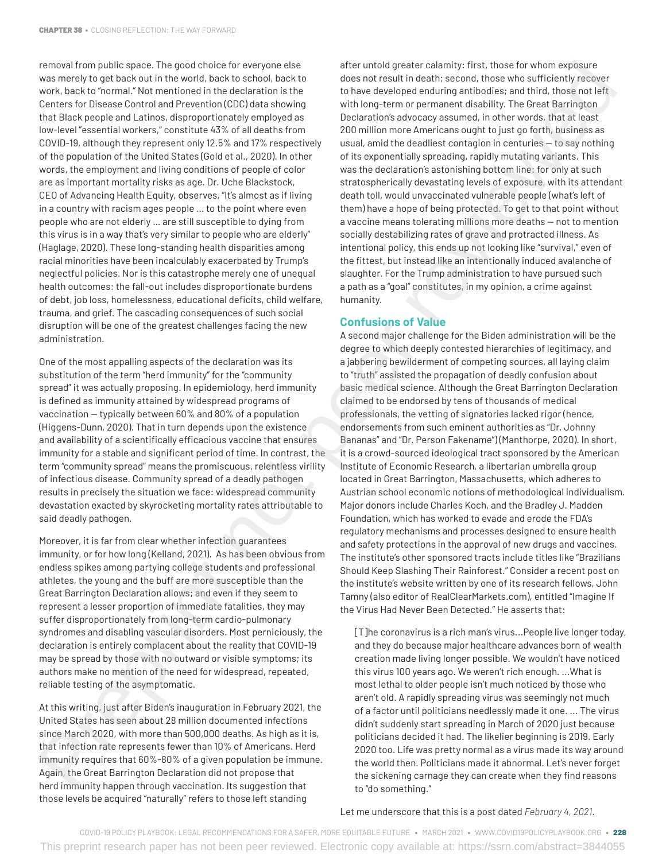removal from public space. The good choice for everyone else was merely to get back out in the world, back to school, back to work, back to "normal." Not mentioned in the declaration is the Centers for Disease Control and Prevention (CDC) data showing that Black people and Latinos, disproportionately employed as low-level "essential workers," constitute 43% of all deaths from COVID-19, although they represent only 12.5% and 17% respectively of the population of the United States (Gold et al., 2020). In other words, the employment and living conditions of people of color are as important mortality risks as age. Dr. Uche Blackstock, CEO of Advancing Health Equity, observes, "It's almost as if living in a country with racism ages people … to the point where even people who are not elderly … are still susceptible to dying from this virus is in a way that's very similar to people who are elderly" (Haglage, 2020). These long-standing health disparities among racial minorities have been incalculably exacerbated by Trump's neglectful policies. Nor is this catastrophe merely one of unequal health outcomes: the fall-out includes disproportionate burdens of debt, job loss, homelessness, educational deficits, child welfare, trauma, and grief. The cascading consequences of such social disruption will be one of the greatest challenges facing the new administration. reviewed by the original state of the state of the track enter to the state of the state of the state of the state of the state of the state of the state of the state of the state of the state of the state of the state of

One of the most appalling aspects of the declaration was its substitution of the term "herd immunity" for the "community spread" it was actually proposing. In epidemiology, herd immunity is defined as immunity attained by widespread programs of vaccination — typically between 60% and 80% of a population (Higgens-Dunn, 2020). That in turn depends upon the existence and availability of a scientifically efficacious vaccine that ensures immunity for a stable and significant period of time. In contrast, the term "community spread" means the promiscuous, relentless virility of infectious disease. Community spread of a deadly pathogen results in precisely the situation we face: widespread community devastation exacted by skyrocketing mortality rates attributable to said deadly pathogen.

Moreover, it is far from clear whether infection guarantees immunity, or for how long (Kelland, 2021). As has been obvious from endless spikes among partying college students and professional athletes, the young and the buff are more susceptible than the Great Barrington Declaration allows; and even if they seem to represent a lesser proportion of immediate fatalities, they may suffer disproportionately from long-term cardio-pulmonary syndromes and disabling vascular disorders. Most perniciously, the declaration is entirely complacent about the reality that COVID-19 may be spread by those with no outward or visible symptoms; its authors make no mention of the need for widespread, repeated, reliable testing of the asymptomatic.

At this writing, just after Biden's inauguration in February 2021, the United States has seen about 28 million documented infections since March 2020, with more than 500,000 deaths. As high as it is, that infection rate represents fewer than 10% of Americans. Herd immunity requires that 60%-80% of a given population be immune. Again, the Great Barrington Declaration did not propose that herd immunity happen through vaccination. Its suggestion that those levels be acquired "naturally" refers to those left standing

after untold greater calamity: first, those for whom exposure does not result in death; second, those who sufficiently recover to have developed enduring antibodies; and third, those not left with long-term or permanent disability. The Great Barrington Declaration's advocacy assumed, in other words, that at least 200 million more Americans ought to just go forth, business as usual, amid the deadliest contagion in centuries — to say nothing of its exponentially spreading, rapidly mutating variants. This was the declaration's astonishing bottom line: for only at such stratospherically devastating levels of exposure, with its attendant death toll, would unvaccinated vulnerable people (what's left of them) have a hope of being protected. To get to that point without a vaccine means tolerating millions more deaths — not to mention socially destabilizing rates of grave and protracted illness. As intentional policy, this ends up not looking like "survival," even of the fittest, but instead like an intentionally induced avalanche of slaughter. For the Trump administration to have pursued such a path as a "goal" constitutes, in my opinion, a crime against humanity.

#### **Confusions of Value**

A second major challenge for the Biden administration will be the degree to which deeply contested hierarchies of legitimacy, and a jabbering bewilderment of competing sources, all laying claim to "truth" assisted the propagation of deadly confusion about basic medical science. Although the Great Barrington Declaration claimed to be endorsed by tens of thousands of medical professionals, the vetting of signatories lacked rigor (hence, endorsements from such eminent authorities as "Dr. Johnny Bananas" and "Dr. Person Fakename") (Manthorpe, 2020). In short, it is a crowd-sourced ideological tract sponsored by the American Institute of Economic Research, a libertarian umbrella group located in Great Barrington, Massachusetts, which adheres to Austrian school economic notions of methodological individualism. Major donors include Charles Koch, and the Bradley J. Madden Foundation, which has worked to evade and erode the FDA's regulatory mechanisms and processes designed to ensure health and safety protections in the approval of new drugs and vaccines. The institute's other sponsored tracts include titles like "Brazilians Should Keep Slashing Their Rainforest." Consider a recent post on the institute's website written by one of its research fellows, John Tamny (also editor of RealClearMarkets.com), entitled "Imagine If the Virus Had Never Been Detected." He asserts that:

[T]he coronavirus is a rich man's virus...People live longer today, and they do because major healthcare advances born of wealth creation made living longer possible. We wouldn't have noticed this virus 100 years ago. We weren't rich enough. ...What is most lethal to older people isn't much noticed by those who aren't old. A rapidly spreading virus was seemingly not much of a factor until politicians needlessly made it one. ... The virus didn't suddenly start spreading in March of 2020 just because politicians decided it had. The likelier beginning is 2019. Early 2020 too. Life was pretty normal as a virus made its way around the world then. Politicians made it abnormal. Let's never forget the sickening carnage they can create when they find reasons to "do something."

Let me underscore that this is a post dated *February 4, 2021*.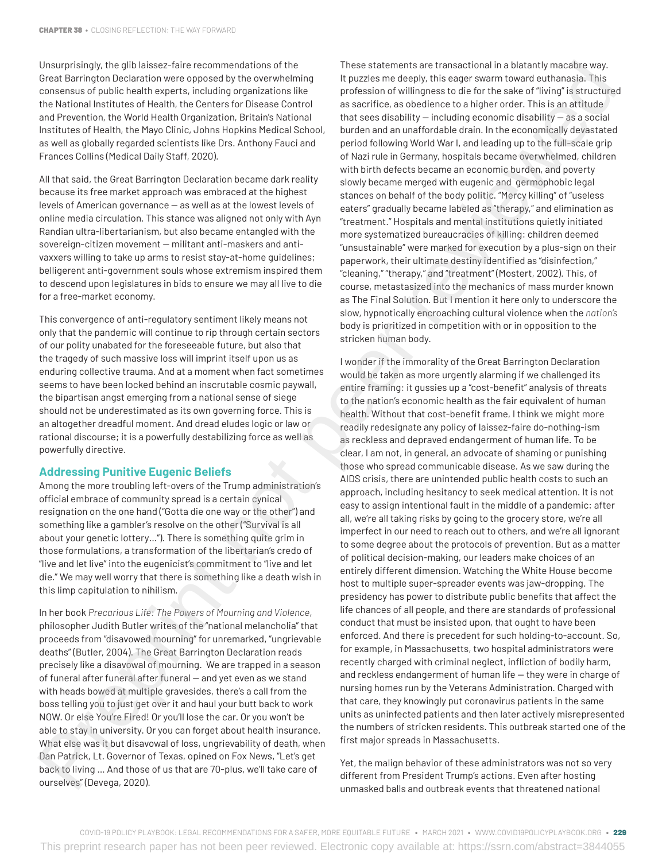Unsurprisingly, the glib laissez-faire recommendations of the Great Barrington Declaration were opposed by the overwhelming consensus of public health experts, including organizations like the National Institutes of Health, the Centers for Disease Control and Prevention, the World Health Organization, Britain's National Institutes of Health, the Mayo Clinic, Johns Hopkins Medical School, as well as globally regarded scientists like Drs. Anthony Fauci and Frances Collins (Medical Daily Staff, 2020).

All that said, the Great Barrington Declaration became dark reality because its free market approach was embraced at the highest levels of American governance — as well as at the lowest levels of online media circulation. This stance was aligned not only with Ayn Randian ultra-libertarianism, but also became entangled with the sovereign-citizen movement — militant anti-maskers and antivaxxers willing to take up arms to resist stay-at-home guidelines; belligerent anti-government souls whose extremism inspired them to descend upon legislatures in bids to ensure we may all live to die for a free-market economy.

This convergence of anti-regulatory sentiment likely means not only that the pandemic will continue to rip through certain sectors of our polity unabated for the foreseeable future, but also that the tragedy of such massive loss will imprint itself upon us as enduring collective trauma. And at a moment when fact sometimes seems to have been locked behind an inscrutable cosmic paywall, the bipartisan angst emerging from a national sense of siege should not be underestimated as its own governing force. This is an altogether dreadful moment. And dread eludes logic or law or rational discourse; it is a powerfully destabilizing force as well as powerfully directive.

## **Addressing Punitive Eugenic Beliefs**

Among the more troubling left-overs of the Trump administration's official embrace of community spread is a certain cynical resignation on the one hand ("Gotta die one way or the other") and something like a gambler's resolve on the other ("Survival is all about your genetic lottery…"). There is something quite grim in those formulations, a transformation of the libertarian's credo of "live and let live" into the eugenicist's commitment to "live and let die." We may well worry that there is something like a death wish in this limp capitulation to nihilism.

In her book *Precarious Life: The Powers of Mourning and Violence*, philosopher Judith Butler writes of the "national melancholia" that proceeds from "disavowed mourning" for unremarked, "ungrievable deaths" (Butler, 2004). The Great Barrington Declaration reads precisely like a disavowal of mourning. We are trapped in a season of funeral after funeral after funeral — and yet even as we stand with heads bowed at multiple gravesides, there's a call from the boss telling you to just get over it and haul your butt back to work NOW. Or else You're Fired! Or you'll lose the car. Or you won't be able to stay in university. Or you can forget about health insurance. What else was it but disavowal of loss, ungrievability of death, when Dan Patrick, Lt. Governor of Texas, opined on Fox News, "Let's get back to living … And those of us that are 70-plus, we'll take care of ourselves" (Devega, 2020).

These statements are transactional in a blatantly macabre way. It puzzles me deeply, this eager swarm toward euthanasia. This profession of willingness to die for the sake of "living" is structured as sacrifice, as obedience to a higher order. This is an attitude that sees disability — including economic disability — as a social burden and an unaffordable drain. In the economically devastated period following World War I, and leading up to the full-scale grip of Nazi rule in Germany, hospitals became overwhelmed, children with birth defects became an economic burden, and poverty slowly became merged with eugenic and germophobic legal stances on behalf of the body politic. "Mercy killing" of "useless eaters" gradually became labeled as "therapy," and elimination as "treatment." Hospitals and mental institutions quietly initiated more systematized bureaucracies of killing: children deemed "unsustainable" were marked for execution by a plus-sign on their paperwork, their ultimate destiny identified as "disinfection," "cleaning," "therapy," and "treatment" (Mostert, 2002). This, of course, metastasized into the mechanics of mass murder known as The Final Solution. But I mention it here only to underscore the slow, hypnotically encroaching cultural violence when the *nation's* body is prioritized in competition with or in opposition to the stricken human body.

I wonder if the immorality of the Great Barrington Declaration would be taken as more urgently alarming if we challenged its entire framing: it gussies up a "cost-benefit" analysis of threats to the nation's economic health as the fair equivalent of human health. Without that cost-benefit frame, I think we might more readily redesignate any policy of laissez-faire do-nothing-ism as reckless and depraved endangerment of human life. To be clear, I am not, in general, an advocate of shaming or punishing those who spread communicable disease. As we saw during the AIDS crisis, there are unintended public health costs to such an approach, including hesitancy to seek medical attention. It is not easy to assign intentional fault in the middle of a pandemic: after all, we're all taking risks by going to the grocery store, we're all imperfect in our need to reach out to others, and we're all ignorant to some degree about the protocols of prevention. But as a matter of political decision-making, our leaders make choices of an entirely different dimension. Watching the White House become host to multiple super-spreader events was jaw-dropping. The presidency has power to distribute public benefits that affect the life chances of all people, and there are standards of professional conduct that must be insisted upon, that ought to have been enforced. And there is precedent for such holding-to-account. So, for example, in Massachusetts, two hospital administrators were recently charged with criminal neglect, infliction of bodily harm, and reckless endangerment of human life — they were in charge of nursing homes run by the Veterans Administration. Charged with that care, they knowingly put coronavirus patients in the same units as uninfected patients and then later actively misrepresented the numbers of stricken residents. This outbreak started one of the first major spreads in Massachusetts. Using the presentation of the section of the section of the section of the section of the section of the section of the section of the section of the section of the section of the section of the section of the section of

Yet, the malign behavior of these administrators was not so very different from President Trump's actions. Even after hosting unmasked balls and outbreak events that threatened national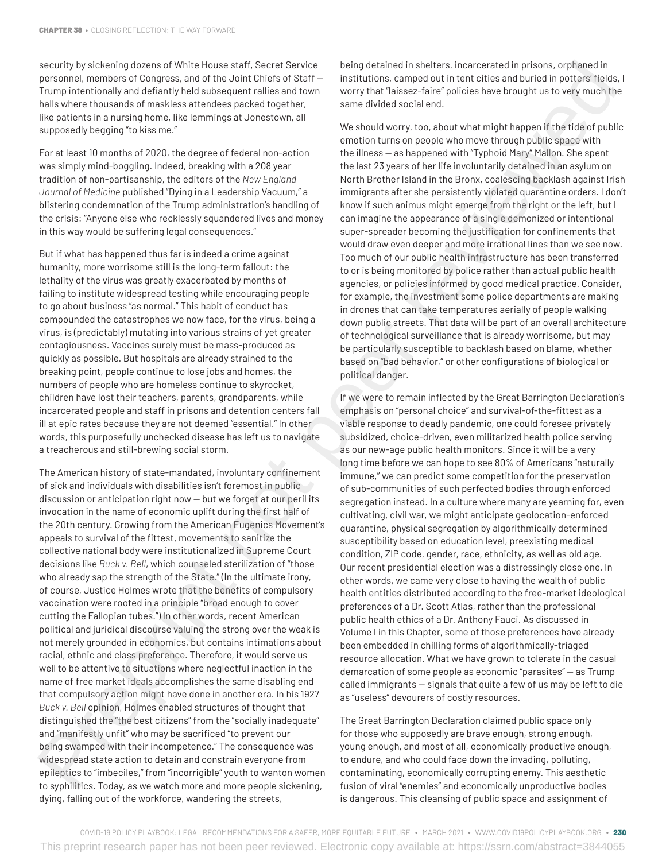security by sickening dozens of White House staff, Secret Service personnel, members of Congress, and of the Joint Chiefs of Staff — Trump intentionally and defiantly held subsequent rallies and town halls where thousands of maskless attendees packed together, like patients in a nursing home, like lemmings at Jonestown, all supposedly begging "to kiss me."

For at least 10 months of 2020, the degree of federal non-action was simply mind-boggling. Indeed, breaking with a 208 year tradition of non-partisanship, the editors of the *New England Journal of Medicine* published "Dying in a Leadership Vacuum," a blistering condemnation of the Trump administration's handling of the crisis: "Anyone else who recklessly squandered lives and money in this way would be suffering legal consequences."

But if what has happened thus far is indeed a crime against humanity, more worrisome still is the long-term fallout: the lethality of the virus was greatly exacerbated by months of failing to institute widespread testing while encouraging people to go about business "as normal." This habit of conduct has compounded the catastrophes we now face, for the virus, being a virus, is (predictably) mutating into various strains of yet greater contagiousness. Vaccines surely must be mass-produced as quickly as possible. But hospitals are already strained to the breaking point, people continue to lose jobs and homes, the numbers of people who are homeless continue to skyrocket, children have lost their teachers, parents, grandparents, while incarcerated people and staff in prisons and detention centers fall ill at epic rates because they are not deemed "essential." In other words, this purposefully unchecked disease has left us to navigate a treacherous and still-brewing social storm.

The American history of state-mandated, involuntary confinement of sick and individuals with disabilities isn't foremost in public discussion or anticipation right now — but we forget at our peril its invocation in the name of economic uplift during the first half of the 20th century. Growing from the American Eugenics Movement's appeals to survival of the fittest, movements to sanitize the collective national body were institutionalized in Supreme Court decisions like *Buck v. Bell*, which counseled sterilization of "those who already sap the strength of the State." (In the ultimate irony, of course, Justice Holmes wrote that the benefits of compulsory vaccination were rooted in a principle "broad enough to cover cutting the Fallopian tubes.") In other words, recent American political and juridical discourse valuing the strong over the weak is not merely grounded in economics, but contains intimations about racial, ethnic and class preference. Therefore, it would serve us well to be attentive to situations where neglectful inaction in the name of free market ideals accomplishes the same disabling end that compulsory action might have done in another era. In his 1927 *Buck v. Bell* opinion, Holmes enabled structures of thought that distinguished the "the best citizens" from the "socially inadequate" and "manifestly unfit" who may be sacrificed "to prevent our being swamped with their incompetence." The consequence was widespread state action to detain and constrain everyone from epileptics to "imbeciles," from "incorrigible" youth to wanton women to syphilitics. Today, as we watch more and more people sickening, dying, falling out of the workforce, wandering the streets, revolve in the two sets of the two sets of the two sets of the two sets of the two sets of the two sets of the two sets of the two sets of the two sets of the two sets of the two sets of the two sets of the two sets of th

being detained in shelters, incarcerated in prisons, orphaned in institutions, camped out in tent cities and buried in potters' fields, I worry that "laissez-faire" policies have brought us to very much the same divided social end.

We should worry, too, about what might happen if the tide of public emotion turns on people who move through public space with the illness — as happened with "Typhoid Mary" Mallon. She spent the last 23 years of her life involuntarily detained in an asylum on North Brother Island in the Bronx, coalescing backlash against Irish immigrants after she persistently violated quarantine orders. I don't know if such animus might emerge from the right or the left, but I can imagine the appearance of a single demonized or intentional super-spreader becoming the justification for confinements that would draw even deeper and more irrational lines than we see now. Too much of our public health infrastructure has been transferred to or is being monitored by police rather than actual public health agencies, or policies informed by good medical practice. Consider, for example, the investment some police departments are making in drones that can take temperatures aerially of people walking down public streets. That data will be part of an overall architecture of technological surveillance that is already worrisome, but may be particularly susceptible to backlash based on blame, whether based on "bad behavior," or other configurations of biological or political danger.

If we were to remain inflected by the Great Barrington Declaration's emphasis on "personal choice" and survival-of-the-fittest as a viable response to deadly pandemic, one could foresee privately subsidized, choice-driven, even militarized health police serving as our new-age public health monitors. Since it will be a very long time before we can hope to see 80% of Americans "naturally immune," we can predict some competition for the preservation of sub-communities of such perfected bodies through enforced segregation instead. In a culture where many are yearning for, even cultivating, civil war, we might anticipate geolocation-enforced quarantine, physical segregation by algorithmically determined susceptibility based on education level, preexisting medical condition, ZIP code, gender, race, ethnicity, as well as old age. Our recent presidential election was a distressingly close one. In other words, we came very close to having the wealth of public health entities distributed according to the free-market ideological preferences of a Dr. Scott Atlas, rather than the professional public health ethics of a Dr. Anthony Fauci. As discussed in Volume I in this Chapter, some of those preferences have already been embedded in chilling forms of algorithmically-triaged resource allocation. What we have grown to tolerate in the casual demarcation of some people as economic "parasites" — as Trump called immigrants — signals that quite a few of us may be left to die as "useless" devourers of costly resources.

The Great Barrington Declaration claimed public space only for those who supposedly are brave enough, strong enough, young enough, and most of all, economically productive enough, to endure, and who could face down the invading, polluting, contaminating, economically corrupting enemy. This aesthetic fusion of viral "enemies" and economically unproductive bodies is dangerous. This cleansing of public space and assignment of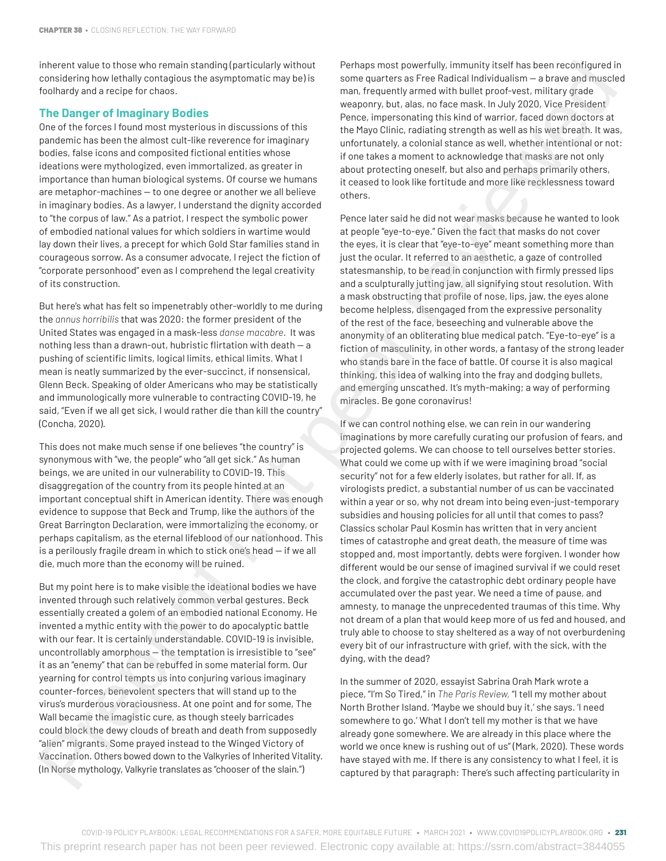inherent value to those who remain standing (particularly without considering how lethally contagious the asymptomatic may be) is foolhardy and a recipe for chaos.

#### **The Danger of Imaginary Bodies**

One of the forces I found most mysterious in discussions of this pandemic has been the almost cult-like reverence for imaginary bodies, false icons and composited fictional entities whose ideations were mythologized, even immortalized, as greater in importance than human biological systems. Of course we humans are metaphor-machines — to one degree or another we all believe in imaginary bodies. As a lawyer, I understand the dignity accorded to "the corpus of law." As a patriot, I respect the symbolic power of embodied national values for which soldiers in wartime would lay down their lives, a precept for which Gold Star families stand in courageous sorrow. As a consumer advocate, I reject the fiction of "corporate personhood" even as I comprehend the legal creativity of its construction.

But here's what has felt so impenetrably other-worldly to me during the *annus horribilis* that was 2020: the former president of the United States was engaged in a mask-less *danse macabre*. It was nothing less than a drawn-out, hubristic flirtation with death — a pushing of scientific limits, logical limits, ethical limits. What I mean is neatly summarized by the ever-succinct, if nonsensical, Glenn Beck. Speaking of older Americans who may be statistically and immunologically more vulnerable to contracting COVID-19, he said, "Even if we all get sick, I would rather die than kill the country" (Concha, 2020).

This does not make much sense if one believes "the country" is synonymous with "we, the people" who "all get sick." As human beings, we are united in our vulnerability to COVID-19. This disaggregation of the country from its people hinted at an important conceptual shift in American identity. There was enough evidence to suppose that Beck and Trump, like the authors of the Great Barrington Declaration, were immortalizing the economy, or perhaps capitalism, as the eternal lifeblood of our nationhood. This is a perilously fragile dream in which to stick one's head — if we all die, much more than the economy will be ruined.

But my point here is to make visible the ideational bodies we have invented through such relatively common verbal gestures. Beck essentially created a golem of an embodied national Economy. He invented a mythic entity with the power to do apocalyptic battle with our fear. It is certainly understandable. COVID-19 is invisible, uncontrollably amorphous — the temptation is irresistible to "see" it as an "enemy" that can be rebuffed in some material form. Our yearning for control tempts us into conjuring various imaginary counter-forces, benevolent specters that will stand up to the virus's murderous voraciousness. At one point and for some, The Wall became the imagistic cure, as though steely barricades could block the dewy clouds of breath and death from supposedly "alien" migrants. Some prayed instead to the Winged Victory of Vaccination. Others bowed down to the Valkyries of Inherited Vitality. (In Norse mythology, Valkyrie translates as "chooser of the slain.")

Perhaps most powerfully, immunity itself has been reconfigured in some quarters as Free Radical Individualism — a brave and muscled man, frequently armed with bullet proof-vest, military grade weaponry, but, alas, no face mask. In July 2020, Vice President Pence, impersonating this kind of warrior, faced down doctors at the Mayo Clinic, radiating strength as well as his wet breath. It was, unfortunately, a colonial stance as well, whether intentional or not: if one takes a moment to acknowledge that masks are not only about protecting oneself, but also and perhaps primarily others, it ceased to look like fortitude and more like recklessness toward others.

Pence later said he did not wear masks because he wanted to look at people "eye-to-eye." Given the fact that masks do not cover the eyes, it is clear that "eye-to-eye" meant something more than just the ocular. It referred to an aesthetic, a gaze of controlled statesmanship, to be read in conjunction with firmly pressed lips and a sculpturally jutting jaw, all signifying stout resolution. With a mask obstructing that profile of nose, lips, jaw, the eyes alone become helpless, disengaged from the expressive personality of the rest of the face, beseeching and vulnerable above the anonymity of an obliterating blue medical patch. "Eye-to-eye" is a fiction of masculinity, in other words, a fantasy of the strong leader who stands bare in the face of battle. Of course it is also magical thinking, this idea of walking into the fray and dodging bullets, and emerging unscathed. It's myth-making; a way of performing miracles. Be gone coronavirus!

If we can control nothing else, we can rein in our wandering imaginations by more carefully curating our profusion of fears, and projected golems. We can choose to tell ourselves better stories. What could we come up with if we were imagining broad "social security" not for a few elderly isolates, but rather for all. If, as virologists predict, a substantial number of us can be vaccinated within a year or so, why not dream into being even-just-temporary subsidies and housing policies for all until that comes to pass? Classics scholar Paul Kosmin has written that in very ancient times of catastrophe and great death, the measure of time was stopped and, most importantly, debts were forgiven. I wonder how different would be our sense of imagined survival if we could reset the clock, and forgive the catastrophic debt ordinary people have accumulated over the past year. We need a time of pause, and amnesty, to manage the unprecedented traumas of this time. Why not dream of a plan that would keep more of us fed and housed, and truly able to choose to stay sheltered as a way of not overburdening every bit of our infrastructure with grief, with the sick, with the dying, with the dead? Free transfer as the state of the state of the state of the state of the state of the state of the state of the state of the state of the state of the state of the state of the state of the state of the state of the state

In the summer of 2020, essayist Sabrina Orah Mark wrote a piece, "I'm So Tired," in *The Paris Review,* "I tell my mother about North Brother Island. 'Maybe we should buy it,' she says. 'I need somewhere to go.' What I don't tell my mother is that we have already gone somewhere. We are already in this place where the world we once knew is rushing out of us" (Mark, 2020). These words have stayed with me. If there is any consistency to what I feel, it is captured by that paragraph: There's such affecting particularity in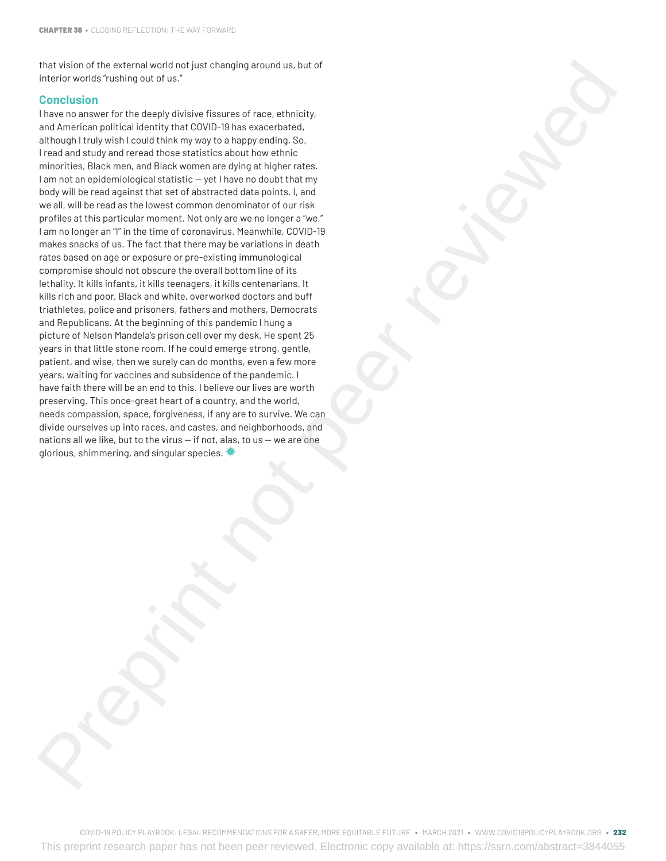that vision of the external world not just changing around us, but of interior worlds "rushing out of us."

#### **Conclusion**

I have no answer for the deeply divisive fissures of race, ethnicity, and American political identity that COVID-19 has exacerbated, although I truly wish I could think my way to a happy ending. So, I read and study and reread those statistics about how ethnic minorities, Black men, and Black women are dying at higher rates. I am not an epidemiological statistic — yet I have no doubt that my body will be read against that set of abstracted data points. I, and we all, will be read as the lowest common denominator of our risk profiles at this particular moment. Not only are we no longer a "we," I am no longer an "I" in the time of coronavirus. Meanwhile, COVID-19 makes snacks of us. The fact that there may be variations in death rates based on age or exposure or pre-existing immunological compromise should not obscure the overall bottom line of its lethality. It kills infants, it kills teenagers, it kills centenarians. It kills rich and poor, Black and white, overworked doctors and buff triathletes, police and prisoners, fathers and mothers, Democrats and Republicans. At the beginning of this pandemic I hung a picture of Nelson Mandela's prison cell over my desk. He spent 25 years in that little stone room. If he could emerge strong, gentle, patient, and wise, then we surely can do months, even a few more years, waiting for vaccines and subsidence of the pandemic. I have faith there will be an end to this. I believe our lives are worth preserving. This once-great heart of a country, and the world, needs compassion, space, forgiveness, if any are to survive. We can divide ourselves up into races, and castes, and neighborhoods, and nations all we like, but to the virus — if not, alas, to us — we are one glorious, shimmering, and singular species. The video of the external section of the distribution of the distribution of the external section of the external section of the control of the control of the control of the control of the control of the control of the co